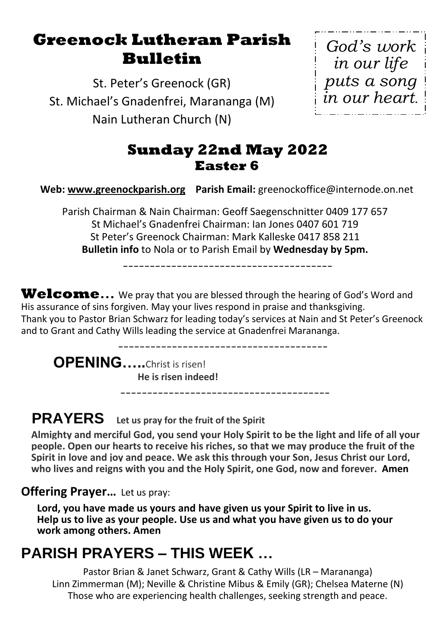# **Greenock Lutheran Parish Bulletin**

St. Peter's Greenock (GR) St. Michael's Gnadenfrei, Marananga (M) Nain Lutheran Church (N)

*God's work in our life puts a song in our heart.*

## **Sunday 22nd May 2022 Easter 6**

**Web: [www.greenockparish.org](http://www.greenockparish.org/) Parish Email:** greenockoffice@internode.on.net

Parish Chairman & Nain Chairman: Geoff Saegenschnitter 0409 177 657 St Michael's Gnadenfrei Chairman: Ian Jones 0407 601 719 St Peter's Greenock Chairman: Mark Kalleske 0417 858 211 **Bulletin info** to Nola or to Parish Email by **Wednesday by 5pm.**

---------------------------------------

Welcome... We pray that you are blessed through the hearing of God's Word and His assurance of sins forgiven. May your lives respond in praise and thanksgiving. Thank you to Pastor Brian Schwarz for leading today's services at Nain and St Peter's Greenock and to Grant and Cathy Wills leading the service at Gnadenfrei Marananga.

---------------------------------------

**OPENING…..**Christ is risen! **He is risen indeed!**

## **PRAYERS Let us pray for the fruit of the Spirit**

**Almighty and merciful God, you send your Holy Spirit to be the light and life of all your people. Open our hearts to receive his riches, so that we may produce the fruit of the Spirit in love and joy and peace. We ask this through your Son, Jesus Christ our Lord, who lives and reigns with you and the Holy Spirit, one God, now and forever. Amen**

---------------------------------------

#### **Offering Prayer...** Let us pray:

**Lord, you have made us yours and have given us your Spirit to live in us. Help us to live as your people. Use us and what you have given us to do your work among others. Amen**

# **PARISH PRAYERS – THIS WEEK …**

Pastor Brian & Janet Schwarz, Grant & Cathy Wills (LR – Marananga) Linn Zimmerman (M); Neville & Christine Mibus & Emily (GR); Chelsea Materne (N) Those who are experiencing health challenges, seeking strength and peace.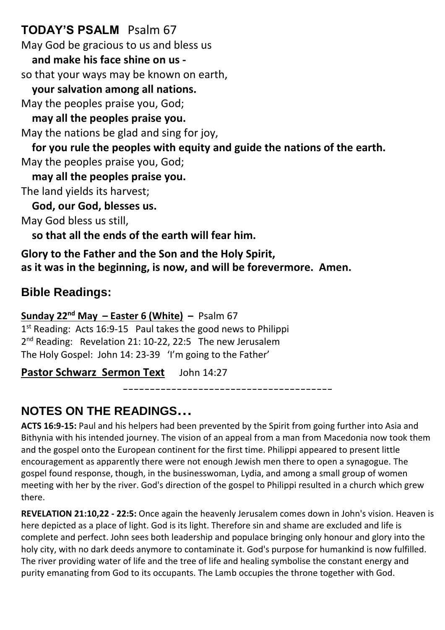### **TODAY'S PSALM** Psalm 67

May God be gracious to us and bless us

 **and make his face shine on us -**

so that your ways may be known on earth,

 **your salvation among all nations.**

May the peoples praise you, God;

 **may all the peoples praise you.**

May the nations be glad and sing for joy,

 **for you rule the peoples with equity and guide the nations of the earth.** May the peoples praise you, God;

 **may all the peoples praise you.**

The land yields its harvest;

 **God, our God, blesses us.**

May God bless us still,

 **so that all the ends of the earth will fear him.**

**Glory to the Father and the Son and the Holy Spirit, as it was in the beginning, is now, and will be forevermore. Amen.**

## **Bible Readings:**

#### **Sunday 22nd May – Easter 6 (White) –** Psalm 67

1<sup>st</sup> Reading: Acts 16:9-15 Paul takes the good news to Philippi 2<sup>nd</sup> Reading: Revelation 21: 10-22, 22:5 The new Jerusalem The Holy Gospel: John 14: 23-39 'I'm going to the Father'

**Pastor Schwarz Sermon Text** John 14:27

---------------------------------------

## **NOTES ON THE READINGS…**

**ACTS 16:9-15:** Paul and his helpers had been prevented by the Spirit from going further into Asia and Bithynia with his intended journey. The vision of an appeal from a man from Macedonia now took them and the gospel onto the European continent for the first time. Philippi appeared to present little encouragement as apparently there were not enough Jewish men there to open a synagogue. The gospel found response, though, in the businesswoman, Lydia, and among a small group of women meeting with her by the river. God's direction of the gospel to Philippi resulted in a church which grew there.

**REVELATION 21:10,22 - 22:5:** Once again the heavenly Jerusalem comes down in John's vision. Heaven is here depicted as a place of light. God is its light. Therefore sin and shame are excluded and life is complete and perfect. John sees both leadership and populace bringing only honour and glory into the holy city, with no dark deeds anymore to contaminate it. God's purpose for humankind is now fulfilled. The river providing water of life and the tree of life and healing symbolise the constant energy and purity emanating from God to its occupants. The Lamb occupies the throne together with God.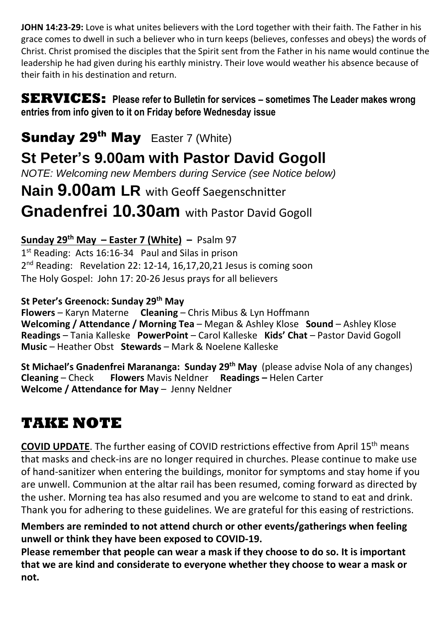**JOHN 14:23-29:** Love is what unites believers with the Lord together with their faith. The Father in his grace comes to dwell in such a believer who in turn keeps (believes, confesses and obeys) the words of Christ. Christ promised the disciples that the Spirit sent from the Father in his name would continue the leadership he had given during his earthly ministry. Their love would weather his absence because of their faith in his destination and return.

#### **SERVICES: Please refer to Bulletin for services – sometimes The Leader makes wrong entries from info given to it on Friday before Wednesday issue**

## Sunday 29<sup>th</sup> May Easter 7 (White)

# **St Peter's 9.00am with Pastor David Gogoll**

*NOTE: Welcoming new Members during Service (see Notice below)*

# **Nain 9.00am LR** with Geoff Saegenschnitter

## **Gnadenfrei 10.30am** with Pastor David Gogoll

#### **Sunday 29 th May – Easter 7 (White) –** Psalm 97

1<sup>st</sup> Reading: Acts 16:16-34 Paul and Silas in prison 2<sup>nd</sup> Reading: Revelation 22: 12-14, 16,17,20,21 Jesus is coming soon The Holy Gospel: John 17: 20-26 Jesus prays for all believers

#### **St Peter's Greenock: Sunday 29th May**

**Flowers** – Karyn Materne **Cleaning** – Chris Mibus & Lyn Hoffmann **Welcoming / Attendance / Morning Tea** – Megan & Ashley Klose **Sound** – Ashley Klose **Readings** – Tania Kalleske **PowerPoint** – Carol Kalleske **Kids' Chat** – Pastor David Gogoll **Music** – Heather Obst **Stewards** – Mark & Noelene Kalleske

**St Michael's Gnadenfrei Marananga: Sunday 29th May** (please advise Nola of any changes) **Cleaning** – Check **Flowers** Mavis Neldner **Readings –** Helen Carter **Welcome / Attendance for May** – Jenny Neldner

# **TAKE NOTE**

**COVID UPDATE**. The further easing of COVID restrictions effective from April 15<sup>th</sup> means that masks and check-ins are no longer required in churches. Please continue to make use of hand-sanitizer when entering the buildings, monitor for symptoms and stay home if you are unwell. Communion at the altar rail has been resumed, coming forward as directed by the usher. Morning tea has also resumed and you are welcome to stand to eat and drink. Thank you for adhering to these guidelines. We are grateful for this easing of restrictions.

**Members are reminded to not attend church or other events/gatherings when feeling unwell or think they have been exposed to COVID-19.**

**Please remember that people can wear a mask if they choose to do so. It is important that we are kind and considerate to everyone whether they choose to wear a mask or not.**